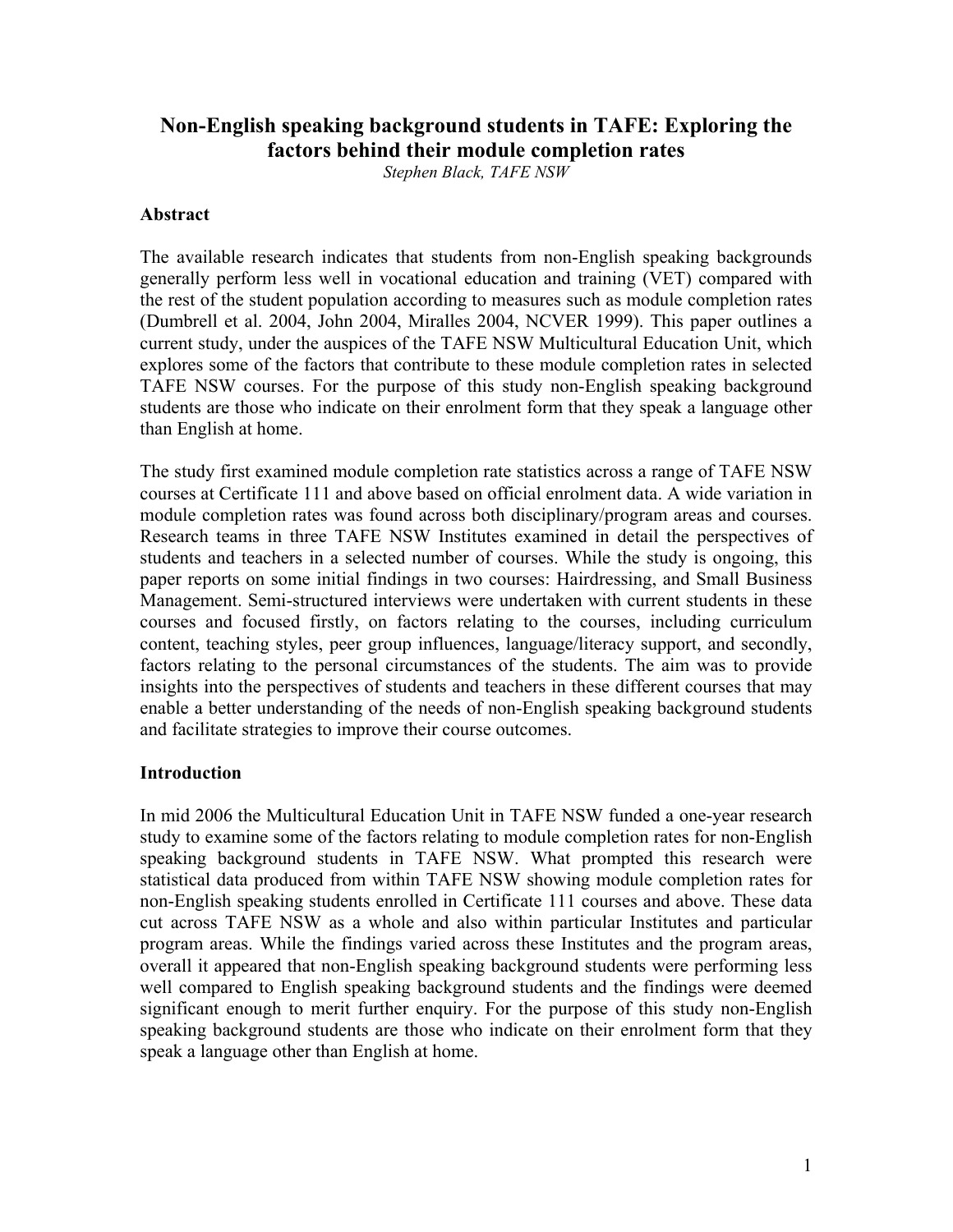# **Non-English speaking background students in TAFE: Exploring the factors behind their module completion rates**

*Stephen Black, TAFE NSW* 

## **Abstract**

The available research indicates that students from non-English speaking backgrounds generally perform less well in vocational education and training (VET) compared with the rest of the student population according to measures such as module completion rates (Dumbrell et al. 2004, John 2004, Miralles 2004, NCVER 1999). This paper outlines a current study, under the auspices of the TAFE NSW Multicultural Education Unit, which explores some of the factors that contribute to these module completion rates in selected TAFE NSW courses. For the purpose of this study non-English speaking background students are those who indicate on their enrolment form that they speak a language other than English at home.

The study first examined module completion rate statistics across a range of TAFE NSW courses at Certificate 111 and above based on official enrolment data. A wide variation in module completion rates was found across both disciplinary/program areas and courses. Research teams in three TAFE NSW Institutes examined in detail the perspectives of students and teachers in a selected number of courses. While the study is ongoing, this paper reports on some initial findings in two courses: Hairdressing, and Small Business Management. Semi-structured interviews were undertaken with current students in these courses and focused firstly, on factors relating to the courses, including curriculum content, teaching styles, peer group influences, language/literacy support, and secondly, factors relating to the personal circumstances of the students. The aim was to provide insights into the perspectives of students and teachers in these different courses that may enable a better understanding of the needs of non-English speaking background students and facilitate strategies to improve their course outcomes.

## **Introduction**

In mid 2006 the Multicultural Education Unit in TAFE NSW funded a one-year research study to examine some of the factors relating to module completion rates for non-English speaking background students in TAFE NSW. What prompted this research were statistical data produced from within TAFE NSW showing module completion rates for non-English speaking students enrolled in Certificate 111 courses and above. These data cut across TAFE NSW as a whole and also within particular Institutes and particular program areas. While the findings varied across these Institutes and the program areas, overall it appeared that non-English speaking background students were performing less well compared to English speaking background students and the findings were deemed significant enough to merit further enquiry. For the purpose of this study non-English speaking background students are those who indicate on their enrolment form that they speak a language other than English at home.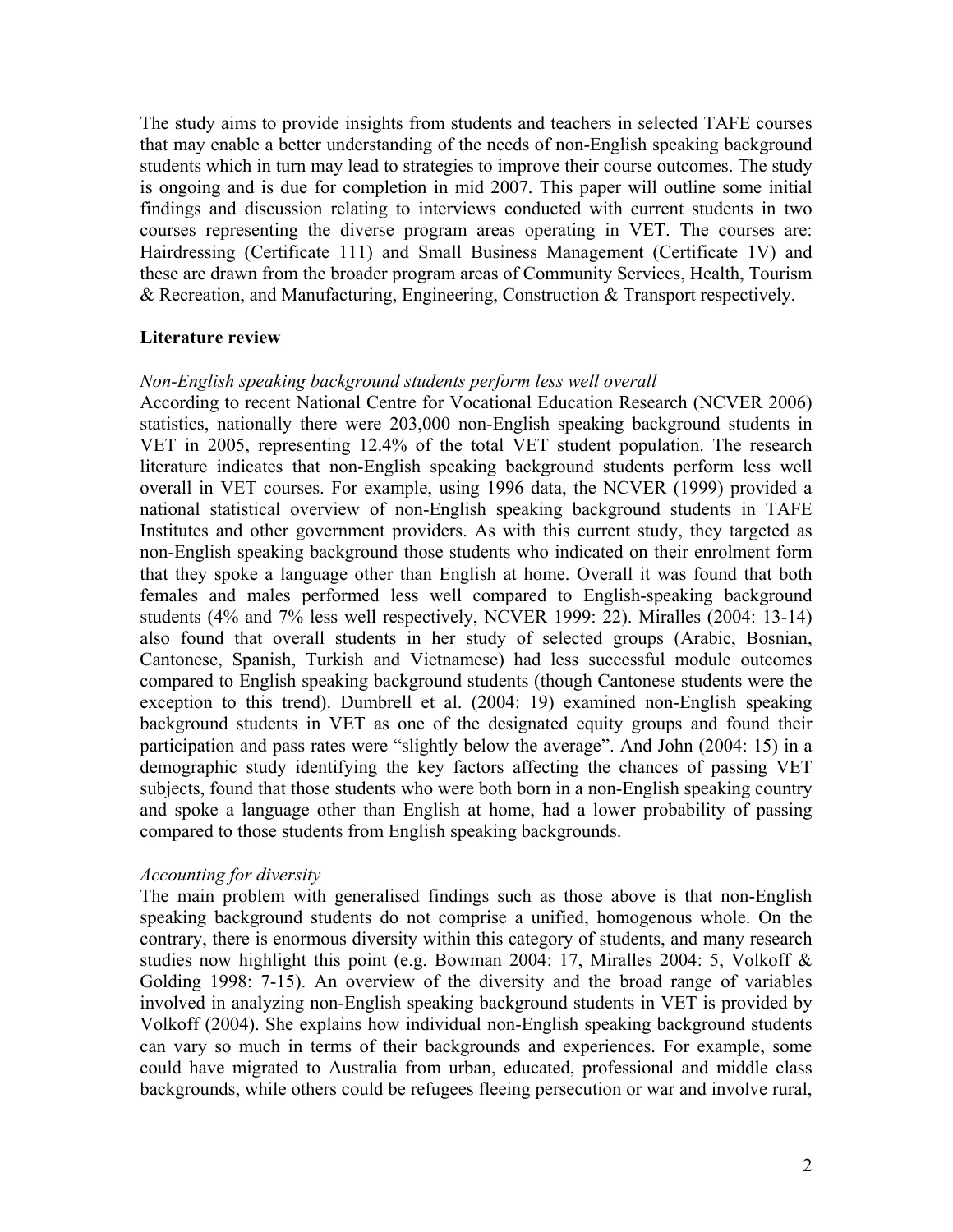The study aims to provide insights from students and teachers in selected TAFE courses that may enable a better understanding of the needs of non-English speaking background students which in turn may lead to strategies to improve their course outcomes. The study is ongoing and is due for completion in mid 2007. This paper will outline some initial findings and discussion relating to interviews conducted with current students in two courses representing the diverse program areas operating in VET. The courses are: Hairdressing (Certificate 111) and Small Business Management (Certificate 1V) and these are drawn from the broader program areas of Community Services, Health, Tourism & Recreation, and Manufacturing, Engineering, Construction & Transport respectively.

## **Literature review**

## *Non-English speaking background students perform less well overall*

According to recent National Centre for Vocational Education Research (NCVER 2006) statistics, nationally there were 203,000 non-English speaking background students in VET in 2005, representing 12.4% of the total VET student population. The research literature indicates that non-English speaking background students perform less well overall in VET courses. For example, using 1996 data, the NCVER (1999) provided a national statistical overview of non-English speaking background students in TAFE Institutes and other government providers. As with this current study, they targeted as non-English speaking background those students who indicated on their enrolment form that they spoke a language other than English at home. Overall it was found that both females and males performed less well compared to English-speaking background students (4% and 7% less well respectively, NCVER 1999: 22). Miralles (2004: 13-14) also found that overall students in her study of selected groups (Arabic, Bosnian, Cantonese, Spanish, Turkish and Vietnamese) had less successful module outcomes compared to English speaking background students (though Cantonese students were the exception to this trend). Dumbrell et al. (2004: 19) examined non-English speaking background students in VET as one of the designated equity groups and found their participation and pass rates were "slightly below the average". And John (2004: 15) in a demographic study identifying the key factors affecting the chances of passing VET subjects, found that those students who were both born in a non-English speaking country and spoke a language other than English at home, had a lower probability of passing compared to those students from English speaking backgrounds.

## *Accounting for diversity*

The main problem with generalised findings such as those above is that non-English speaking background students do not comprise a unified, homogenous whole. On the contrary, there is enormous diversity within this category of students, and many research studies now highlight this point (e.g. Bowman 2004: 17, Miralles 2004: 5, Volkoff & Golding 1998: 7-15). An overview of the diversity and the broad range of variables involved in analyzing non-English speaking background students in VET is provided by Volkoff (2004). She explains how individual non-English speaking background students can vary so much in terms of their backgrounds and experiences. For example, some could have migrated to Australia from urban, educated, professional and middle class backgrounds, while others could be refugees fleeing persecution or war and involve rural,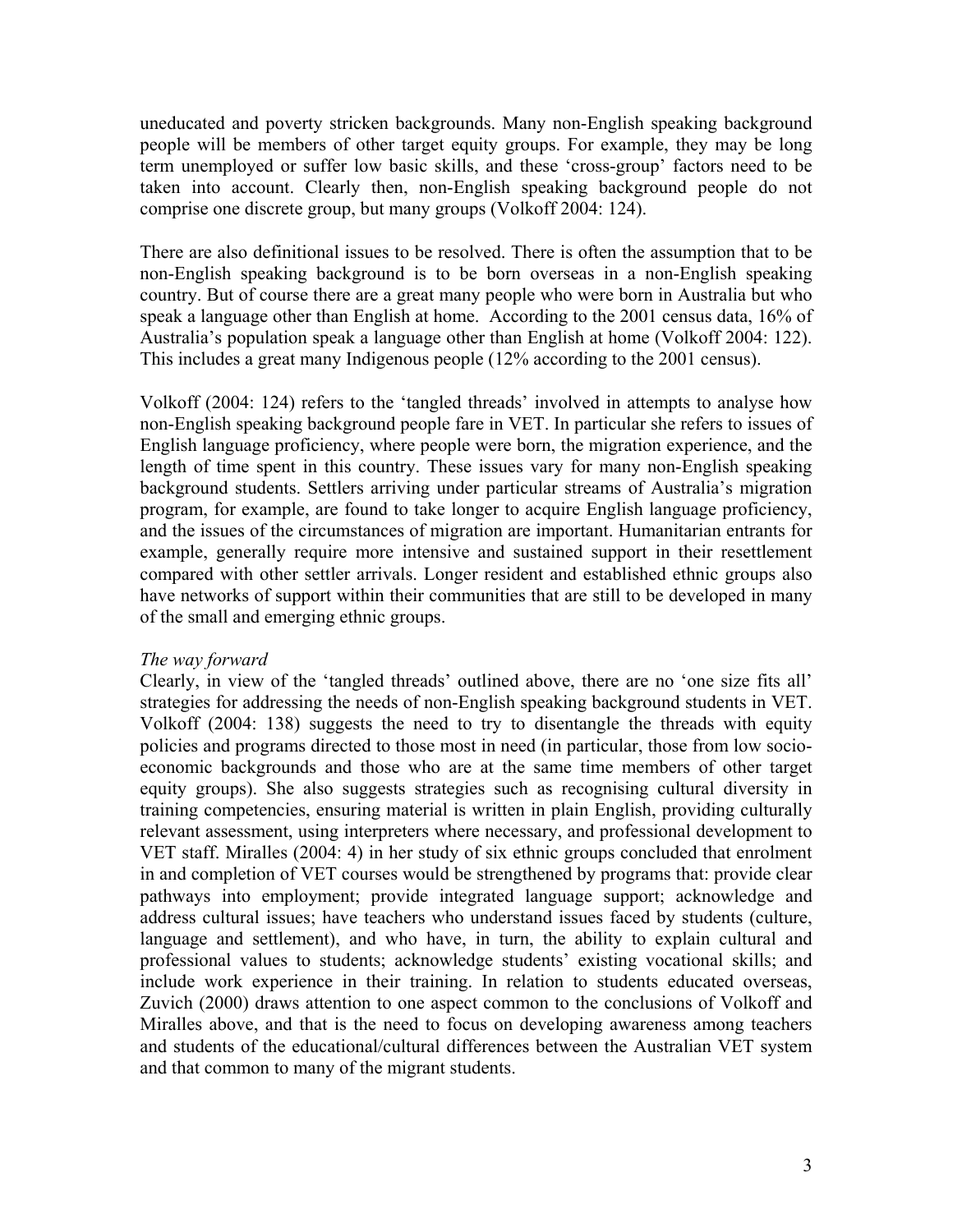uneducated and poverty stricken backgrounds. Many non-English speaking background people will be members of other target equity groups. For example, they may be long term unemployed or suffer low basic skills, and these 'cross-group' factors need to be taken into account. Clearly then, non-English speaking background people do not comprise one discrete group, but many groups (Volkoff 2004: 124).

There are also definitional issues to be resolved. There is often the assumption that to be non-English speaking background is to be born overseas in a non-English speaking country. But of course there are a great many people who were born in Australia but who speak a language other than English at home. According to the 2001 census data, 16% of Australia's population speak a language other than English at home (Volkoff 2004: 122). This includes a great many Indigenous people (12% according to the 2001 census).

Volkoff (2004: 124) refers to the 'tangled threads' involved in attempts to analyse how non-English speaking background people fare in VET. In particular she refers to issues of English language proficiency, where people were born, the migration experience, and the length of time spent in this country. These issues vary for many non-English speaking background students. Settlers arriving under particular streams of Australia's migration program, for example, are found to take longer to acquire English language proficiency, and the issues of the circumstances of migration are important. Humanitarian entrants for example, generally require more intensive and sustained support in their resettlement compared with other settler arrivals. Longer resident and established ethnic groups also have networks of support within their communities that are still to be developed in many of the small and emerging ethnic groups.

## *The way forward*

Clearly, in view of the 'tangled threads' outlined above, there are no 'one size fits all' strategies for addressing the needs of non-English speaking background students in VET. Volkoff (2004: 138) suggests the need to try to disentangle the threads with equity policies and programs directed to those most in need (in particular, those from low socioeconomic backgrounds and those who are at the same time members of other target equity groups). She also suggests strategies such as recognising cultural diversity in training competencies, ensuring material is written in plain English, providing culturally relevant assessment, using interpreters where necessary, and professional development to VET staff. Miralles (2004: 4) in her study of six ethnic groups concluded that enrolment in and completion of VET courses would be strengthened by programs that: provide clear pathways into employment; provide integrated language support; acknowledge and address cultural issues; have teachers who understand issues faced by students (culture, language and settlement), and who have, in turn, the ability to explain cultural and professional values to students; acknowledge students' existing vocational skills; and include work experience in their training. In relation to students educated overseas, Zuvich (2000) draws attention to one aspect common to the conclusions of Volkoff and Miralles above, and that is the need to focus on developing awareness among teachers and students of the educational/cultural differences between the Australian VET system and that common to many of the migrant students.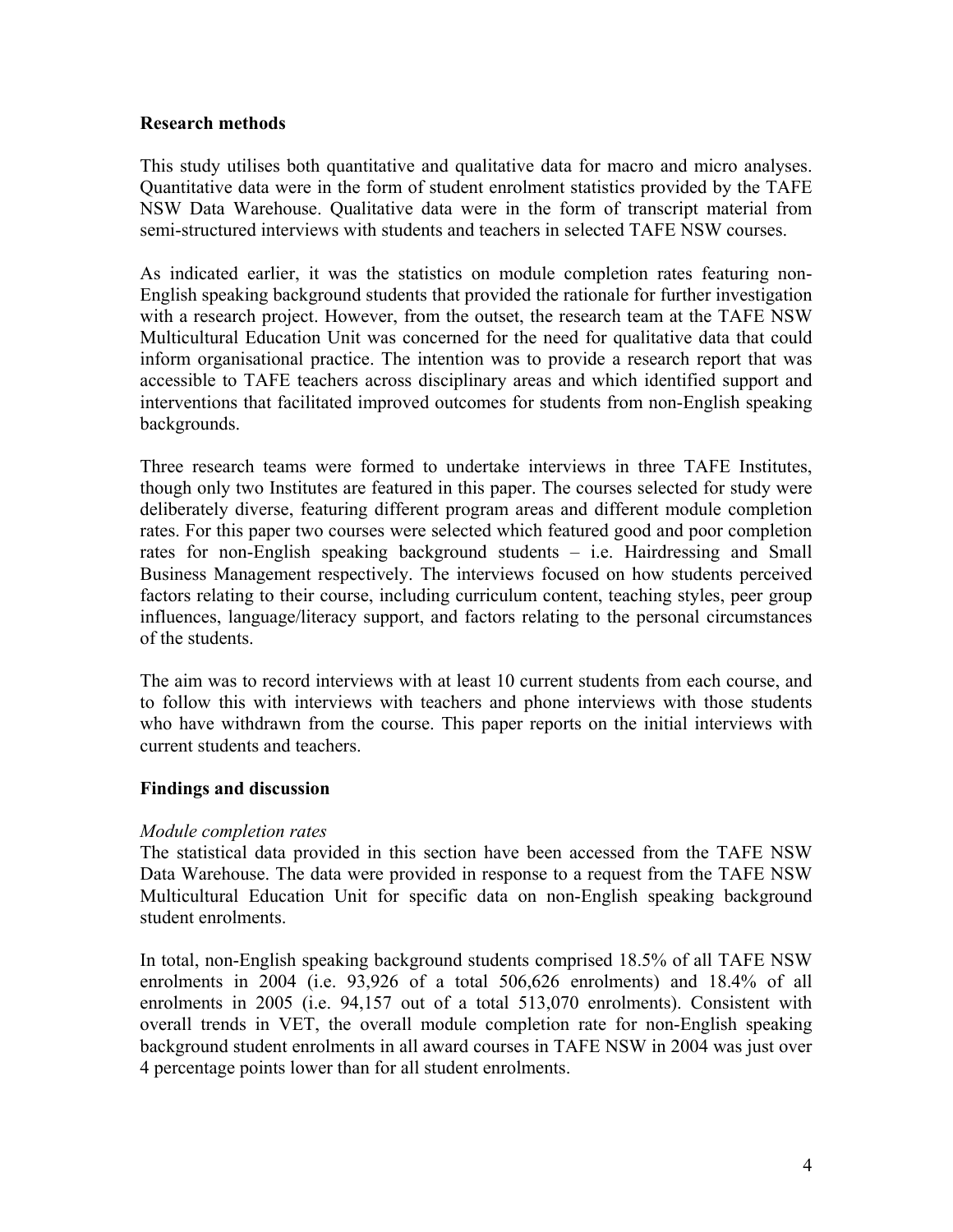## **Research methods**

This study utilises both quantitative and qualitative data for macro and micro analyses. Quantitative data were in the form of student enrolment statistics provided by the TAFE NSW Data Warehouse. Qualitative data were in the form of transcript material from semi-structured interviews with students and teachers in selected TAFE NSW courses.

As indicated earlier, it was the statistics on module completion rates featuring non-English speaking background students that provided the rationale for further investigation with a research project. However, from the outset, the research team at the TAFE NSW Multicultural Education Unit was concerned for the need for qualitative data that could inform organisational practice. The intention was to provide a research report that was accessible to TAFE teachers across disciplinary areas and which identified support and interventions that facilitated improved outcomes for students from non-English speaking backgrounds.

Three research teams were formed to undertake interviews in three TAFE Institutes, though only two Institutes are featured in this paper. The courses selected for study were deliberately diverse, featuring different program areas and different module completion rates. For this paper two courses were selected which featured good and poor completion rates for non-English speaking background students – i.e. Hairdressing and Small Business Management respectively. The interviews focused on how students perceived factors relating to their course, including curriculum content, teaching styles, peer group influences, language/literacy support, and factors relating to the personal circumstances of the students.

The aim was to record interviews with at least 10 current students from each course, and to follow this with interviews with teachers and phone interviews with those students who have withdrawn from the course. This paper reports on the initial interviews with current students and teachers.

## **Findings and discussion**

## *Module completion rates*

The statistical data provided in this section have been accessed from the TAFE NSW Data Warehouse. The data were provided in response to a request from the TAFE NSW Multicultural Education Unit for specific data on non-English speaking background student enrolments.

In total, non-English speaking background students comprised 18.5% of all TAFE NSW enrolments in 2004 (i.e. 93,926 of a total 506,626 enrolments) and 18.4% of all enrolments in 2005 (i.e. 94,157 out of a total 513,070 enrolments). Consistent with overall trends in VET, the overall module completion rate for non-English speaking background student enrolments in all award courses in TAFE NSW in 2004 was just over 4 percentage points lower than for all student enrolments.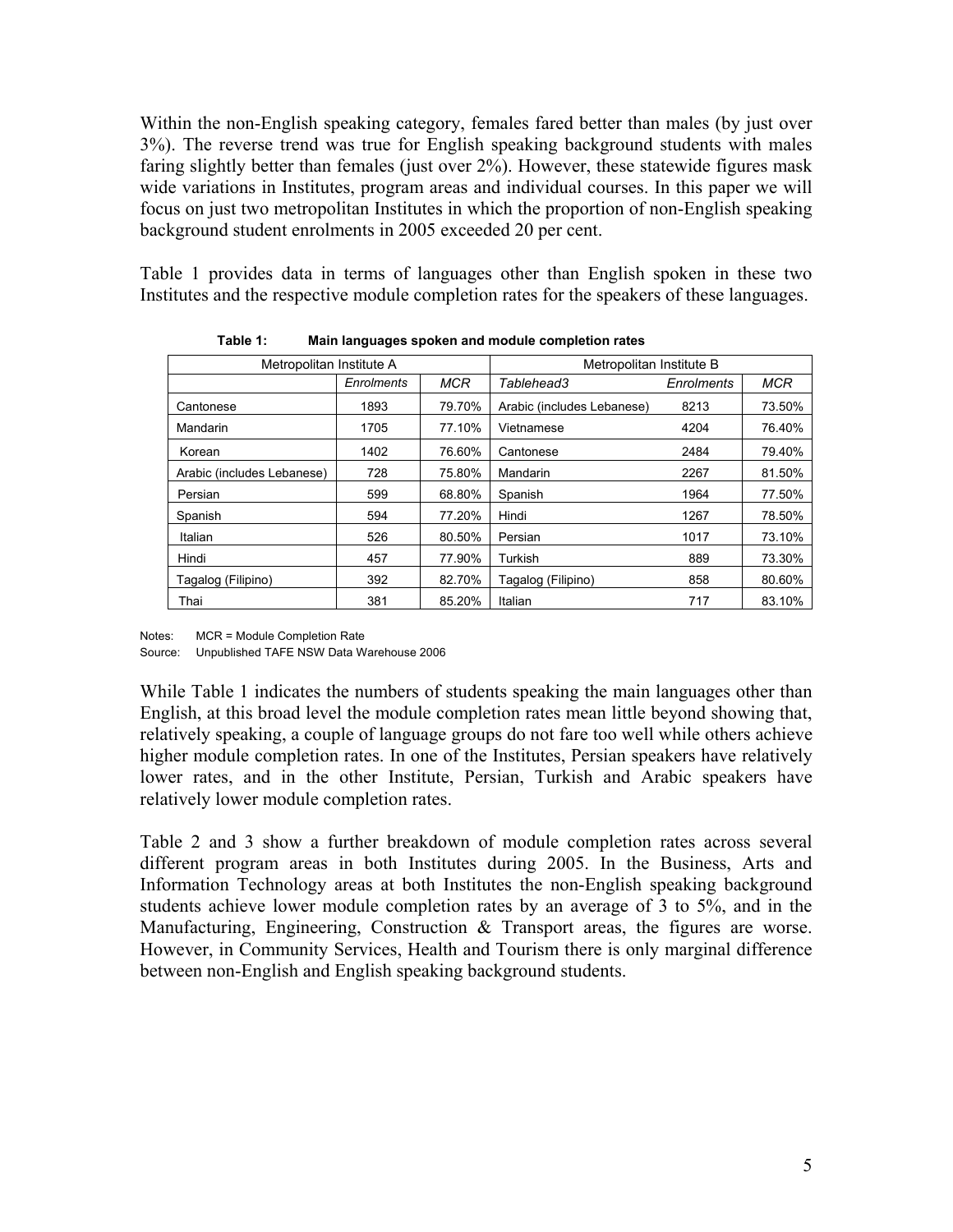Within the non-English speaking category, females fared better than males (by just over 3%). The reverse trend was true for English speaking background students with males faring slightly better than females (just over 2%). However, these statewide figures mask wide variations in Institutes, program areas and individual courses. In this paper we will focus on just two metropolitan Institutes in which the proportion of non-English speaking background student enrolments in 2005 exceeded 20 per cent.

Table 1 provides data in terms of languages other than English spoken in these two Institutes and the respective module completion rates for the speakers of these languages.

| Metropolitan Institute A   |            |            | Metropolitan Institute B   |                   |        |  |
|----------------------------|------------|------------|----------------------------|-------------------|--------|--|
|                            | Enrolments | <b>MCR</b> | Tablehead3                 | <b>Enrolments</b> | MCR    |  |
| Cantonese                  | 1893       | 79.70%     | Arabic (includes Lebanese) | 8213              | 73.50% |  |
| Mandarin                   | 1705       | 77.10%     | Vietnamese                 | 4204              | 76.40% |  |
| Korean                     | 1402       | 76.60%     | Cantonese                  | 2484              | 79.40% |  |
| Arabic (includes Lebanese) | 728        | 75.80%     | Mandarin                   | 2267              | 81.50% |  |
| Persian                    | 599        | 68.80%     | Spanish                    | 1964              | 77.50% |  |
| Spanish                    | 594        | 77.20%     | Hindi                      | 1267              | 78.50% |  |
| Italian                    | 526        | 80.50%     | Persian                    | 1017              | 73.10% |  |
| Hindi                      | 457        | 77.90%     | Turkish                    | 889               | 73.30% |  |
| Tagalog (Filipino)         | 392        | 82.70%     | Tagalog (Filipino)         | 858               | 80.60% |  |
| Thai                       | 381        | 85.20%     | Italian                    | 717               | 83.10% |  |

 **Table 1: Main languages spoken and module completion rates** 

Notes: MCR = Module Completion Rate Source: Unpublished TAFE NSW Data Warehouse 2006

While Table 1 indicates the numbers of students speaking the main languages other than English, at this broad level the module completion rates mean little beyond showing that, relatively speaking, a couple of language groups do not fare too well while others achieve higher module completion rates. In one of the Institutes, Persian speakers have relatively lower rates, and in the other Institute, Persian, Turkish and Arabic speakers have relatively lower module completion rates.

Table 2 and 3 show a further breakdown of module completion rates across several different program areas in both Institutes during 2005. In the Business, Arts and Information Technology areas at both Institutes the non-English speaking background students achieve lower module completion rates by an average of 3 to 5%, and in the Manufacturing, Engineering, Construction & Transport areas, the figures are worse. However, in Community Services, Health and Tourism there is only marginal difference between non-English and English speaking background students.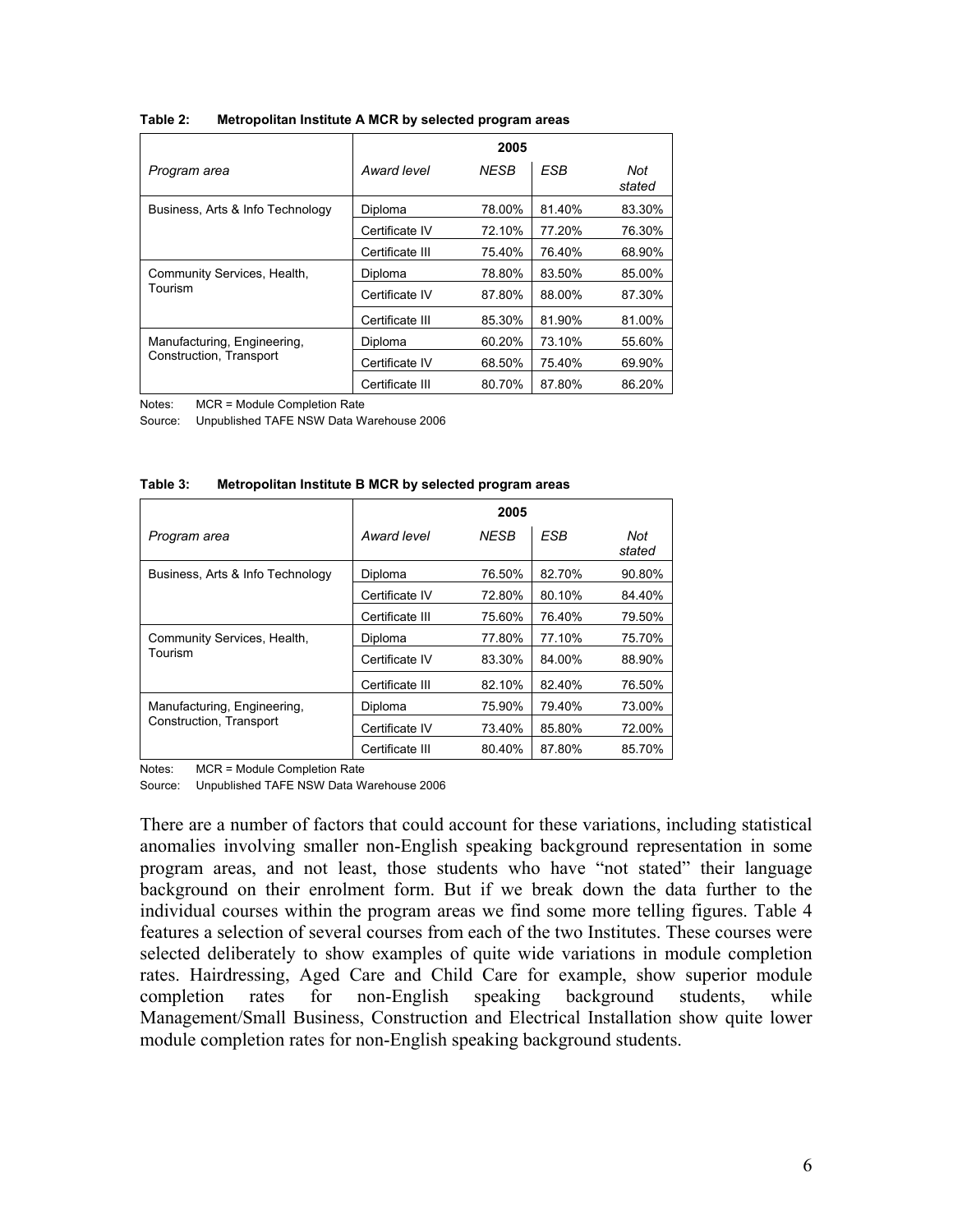|                                  | 2005            |             |            |               |  |  |
|----------------------------------|-----------------|-------------|------------|---------------|--|--|
| Program area                     | Award level     | <b>NESB</b> | <b>ESB</b> | Not<br>stated |  |  |
| Business, Arts & Info Technology | Diploma         | 78.00%      | 81.40%     | 83.30%        |  |  |
|                                  | Certificate IV  | 72.10%      | 77.20%     | 76.30%        |  |  |
|                                  | Certificate III | 75.40%      | 76.40%     | 68.90%        |  |  |
| Community Services, Health,      | Diploma         | 78.80%      | 83.50%     | 85.00%        |  |  |
| Tourism                          | Certificate IV  | 87.80%      | 88.00%     | 87.30%        |  |  |
|                                  | Certificate III | 85.30%      | 81.90%     | 81.00%        |  |  |
| Manufacturing, Engineering,      | Diploma         | 60.20%      | 73.10%     | 55.60%        |  |  |
| Construction, Transport          | Certificate IV  | 68.50%      | 75.40%     | 69.90%        |  |  |
|                                  | Certificate III | 80.70%      | 87.80%     | 86.20%        |  |  |

**Table 2: Metropolitan Institute A MCR by selected program areas** 

Notes: MCR = Module Completion Rate

Source: Unpublished TAFE NSW Data Warehouse 2006

|                                  | 2005            |             |        |               |  |
|----------------------------------|-----------------|-------------|--------|---------------|--|
| Program area                     | Award level     | <b>NESB</b> | ESB    | Not<br>stated |  |
| Business, Arts & Info Technology | Diploma         | 76.50%      | 82.70% | 90.80%        |  |
|                                  | Certificate IV  | 72.80%      | 80.10% | 84.40%        |  |
|                                  | Certificate III | 75.60%      | 76.40% | 79.50%        |  |
| Community Services, Health,      | Diploma         | 77.80%      | 77.10% | 75.70%        |  |
| Tourism                          | Certificate IV  | 83.30%      | 84.00% | 88.90%        |  |
|                                  | Certificate III | 82.10%      | 82.40% | 76.50%        |  |
| Manufacturing, Engineering,      | Diploma         | 75.90%      | 79.40% | 73.00%        |  |
| Construction, Transport          | Certificate IV  | 73.40%      | 85.80% | 72.00%        |  |
|                                  | Certificate III | 80.40%      | 87.80% | 85.70%        |  |

**Table 3: Metropolitan Institute B MCR by selected program areas** 

Notes: MCR = Module Completion Rate

Source: Unpublished TAFE NSW Data Warehouse 2006

There are a number of factors that could account for these variations, including statistical anomalies involving smaller non-English speaking background representation in some program areas, and not least, those students who have "not stated" their language background on their enrolment form. But if we break down the data further to the individual courses within the program areas we find some more telling figures. Table 4 features a selection of several courses from each of the two Institutes. These courses were selected deliberately to show examples of quite wide variations in module completion rates. Hairdressing, Aged Care and Child Care for example, show superior module completion rates for non-English speaking background students, while Management/Small Business, Construction and Electrical Installation show quite lower module completion rates for non-English speaking background students.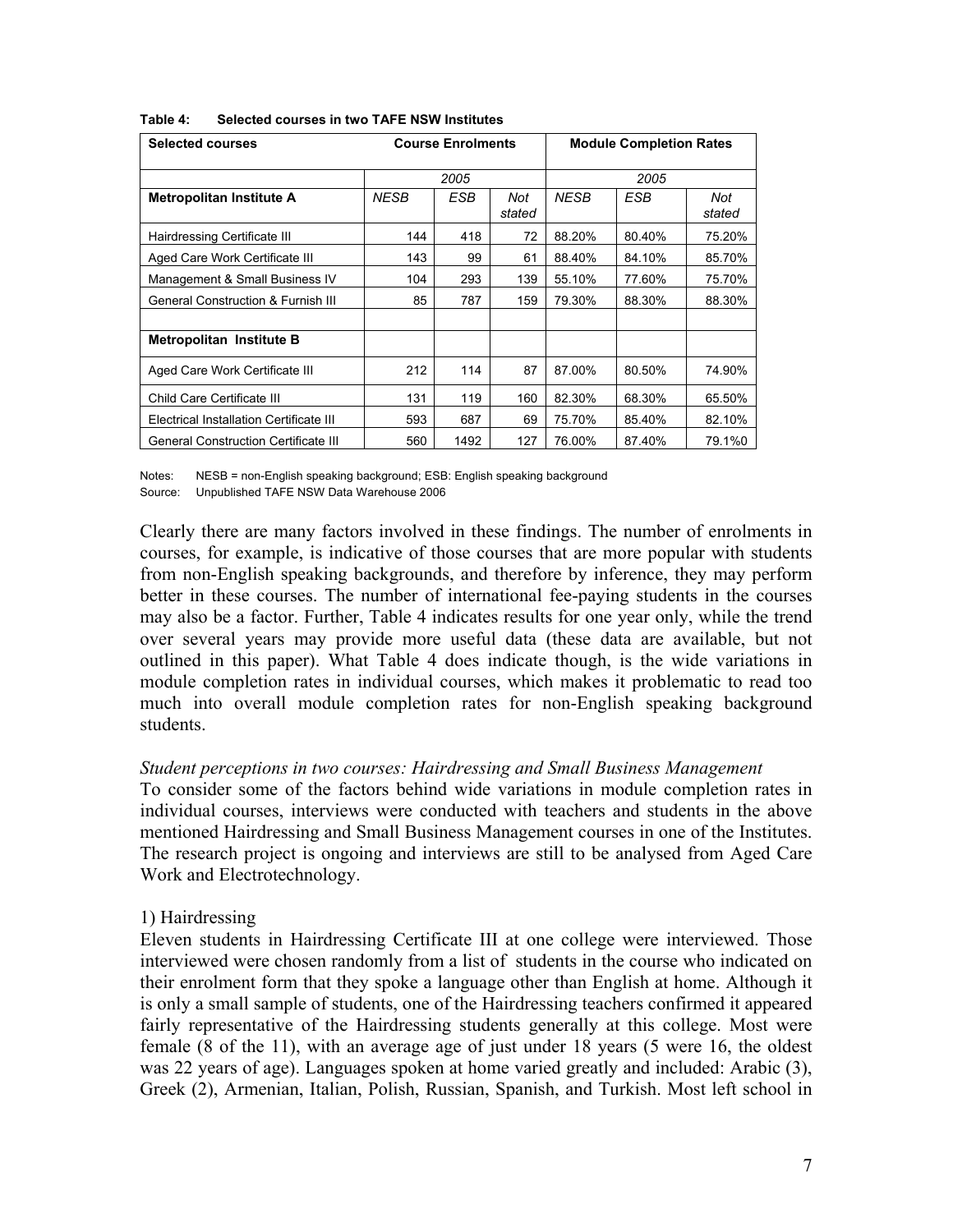| <b>Selected courses</b>                       | <b>Course Enrolments</b> |      |               | <b>Module Completion Rates</b> |        |               |
|-----------------------------------------------|--------------------------|------|---------------|--------------------------------|--------|---------------|
|                                               | 2005                     |      |               | 2005                           |        |               |
| Metropolitan Institute A                      | <b>NESB</b>              | ESB  | Not<br>stated | <b>NESB</b>                    | ESB    | Not<br>stated |
| Hairdressing Certificate III                  | 144                      | 418  | 72            | 88.20%                         | 80.40% | 75.20%        |
| Aged Care Work Certificate III                | 143                      | 99   | 61            | 88.40%                         | 84.10% | 85.70%        |
| Management & Small Business IV                | 104                      | 293  | 139           | 55.10%                         | 77.60% | 75.70%        |
| <b>General Construction &amp; Furnish III</b> | 85                       | 787  | 159           | 79.30%                         | 88.30% | 88.30%        |
| Metropolitan Institute B                      |                          |      |               |                                |        |               |
| Aged Care Work Certificate III                | 212                      | 114  | 87            | 87.00%                         | 80.50% | 74.90%        |
| Child Care Certificate III                    | 131                      | 119  | 160           | 82.30%                         | 68.30% | 65.50%        |
| Electrical Installation Certificate III       | 593                      | 687  | 69            | 75.70%                         | 85.40% | 82.10%        |
| <b>General Construction Certificate III</b>   | 560                      | 1492 | 127           | 76.00%                         | 87.40% | 79.1%0        |

#### **Table 4: Selected courses in two TAFE NSW Institutes**

Notes: NESB = non-English speaking background; ESB: English speaking background Source: Unpublished TAFE NSW Data Warehouse 2006

Clearly there are many factors involved in these findings. The number of enrolments in courses, for example, is indicative of those courses that are more popular with students from non-English speaking backgrounds, and therefore by inference, they may perform better in these courses. The number of international fee-paying students in the courses may also be a factor. Further, Table 4 indicates results for one year only, while the trend over several years may provide more useful data (these data are available, but not outlined in this paper). What Table 4 does indicate though, is the wide variations in module completion rates in individual courses, which makes it problematic to read too much into overall module completion rates for non-English speaking background students.

#### *Student perceptions in two courses: Hairdressing and Small Business Management*

To consider some of the factors behind wide variations in module completion rates in individual courses, interviews were conducted with teachers and students in the above mentioned Hairdressing and Small Business Management courses in one of the Institutes. The research project is ongoing and interviews are still to be analysed from Aged Care Work and Electrotechnology.

#### 1) Hairdressing

Eleven students in Hairdressing Certificate III at one college were interviewed. Those interviewed were chosen randomly from a list of students in the course who indicated on their enrolment form that they spoke a language other than English at home. Although it is only a small sample of students, one of the Hairdressing teachers confirmed it appeared fairly representative of the Hairdressing students generally at this college. Most were female (8 of the 11), with an average age of just under 18 years (5 were 16, the oldest was 22 years of age). Languages spoken at home varied greatly and included: Arabic (3), Greek (2), Armenian, Italian, Polish, Russian, Spanish, and Turkish. Most left school in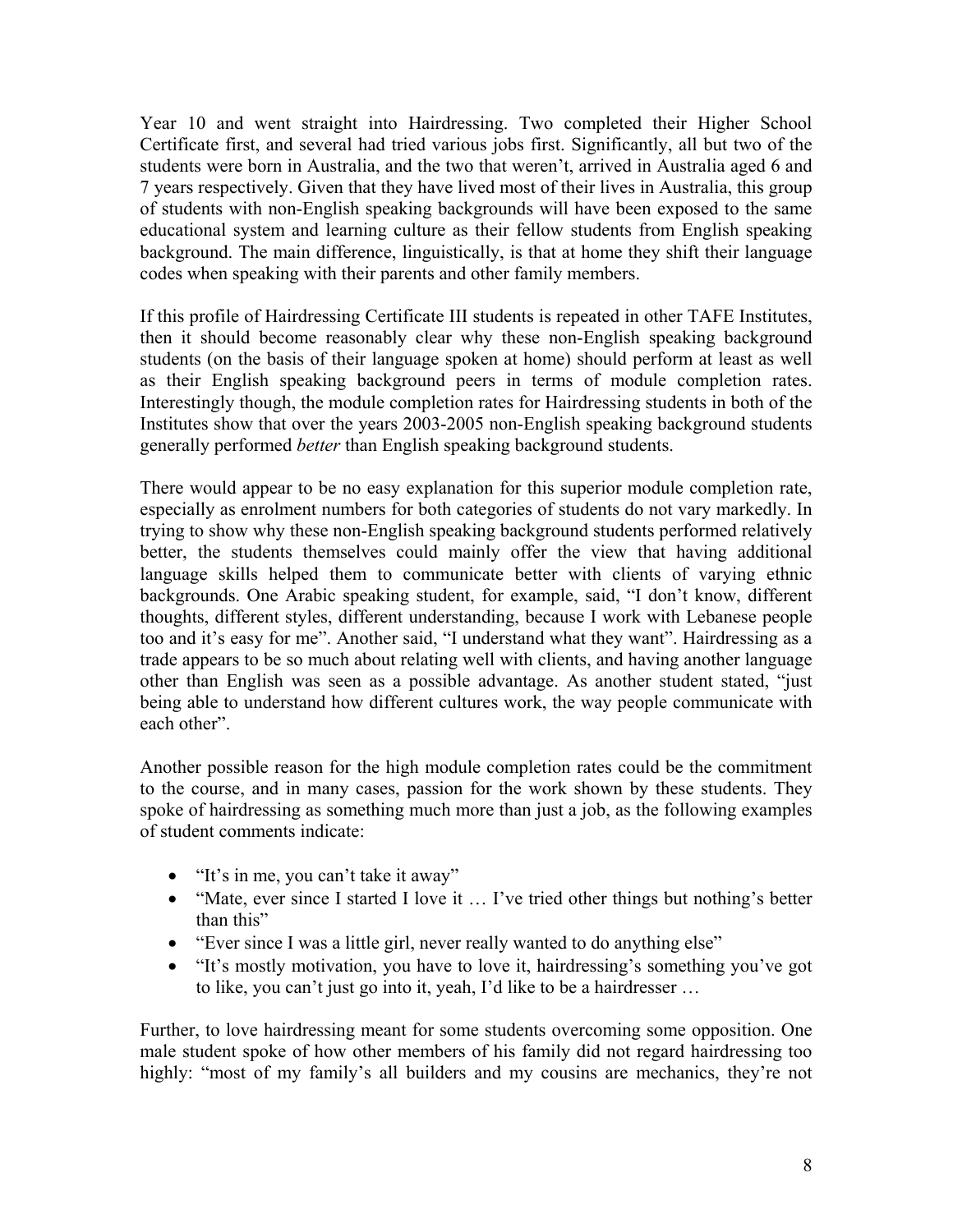Year 10 and went straight into Hairdressing. Two completed their Higher School Certificate first, and several had tried various jobs first. Significantly, all but two of the students were born in Australia, and the two that weren't, arrived in Australia aged 6 and 7 years respectively. Given that they have lived most of their lives in Australia, this group of students with non-English speaking backgrounds will have been exposed to the same educational system and learning culture as their fellow students from English speaking background. The main difference, linguistically, is that at home they shift their language codes when speaking with their parents and other family members.

If this profile of Hairdressing Certificate III students is repeated in other TAFE Institutes, then it should become reasonably clear why these non-English speaking background students (on the basis of their language spoken at home) should perform at least as well as their English speaking background peers in terms of module completion rates. Interestingly though, the module completion rates for Hairdressing students in both of the Institutes show that over the years 2003-2005 non-English speaking background students generally performed *better* than English speaking background students.

There would appear to be no easy explanation for this superior module completion rate, especially as enrolment numbers for both categories of students do not vary markedly. In trying to show why these non-English speaking background students performed relatively better, the students themselves could mainly offer the view that having additional language skills helped them to communicate better with clients of varying ethnic backgrounds. One Arabic speaking student, for example, said, "I don't know, different thoughts, different styles, different understanding, because I work with Lebanese people too and it's easy for me". Another said, "I understand what they want". Hairdressing as a trade appears to be so much about relating well with clients, and having another language other than English was seen as a possible advantage. As another student stated, "just being able to understand how different cultures work, the way people communicate with each other".

Another possible reason for the high module completion rates could be the commitment to the course, and in many cases, passion for the work shown by these students. They spoke of hairdressing as something much more than just a job, as the following examples of student comments indicate:

- "It's in me, you can't take it away"
- "Mate, ever since I started I love it ... I've tried other things but nothing's better than this"
- "Ever since I was a little girl, never really wanted to do anything else"
- "It's mostly motivation, you have to love it, hairdressing's something you've got to like, you can't just go into it, yeah, I'd like to be a hairdresser …

Further, to love hairdressing meant for some students overcoming some opposition. One male student spoke of how other members of his family did not regard hairdressing too highly: "most of my family's all builders and my cousins are mechanics, they're not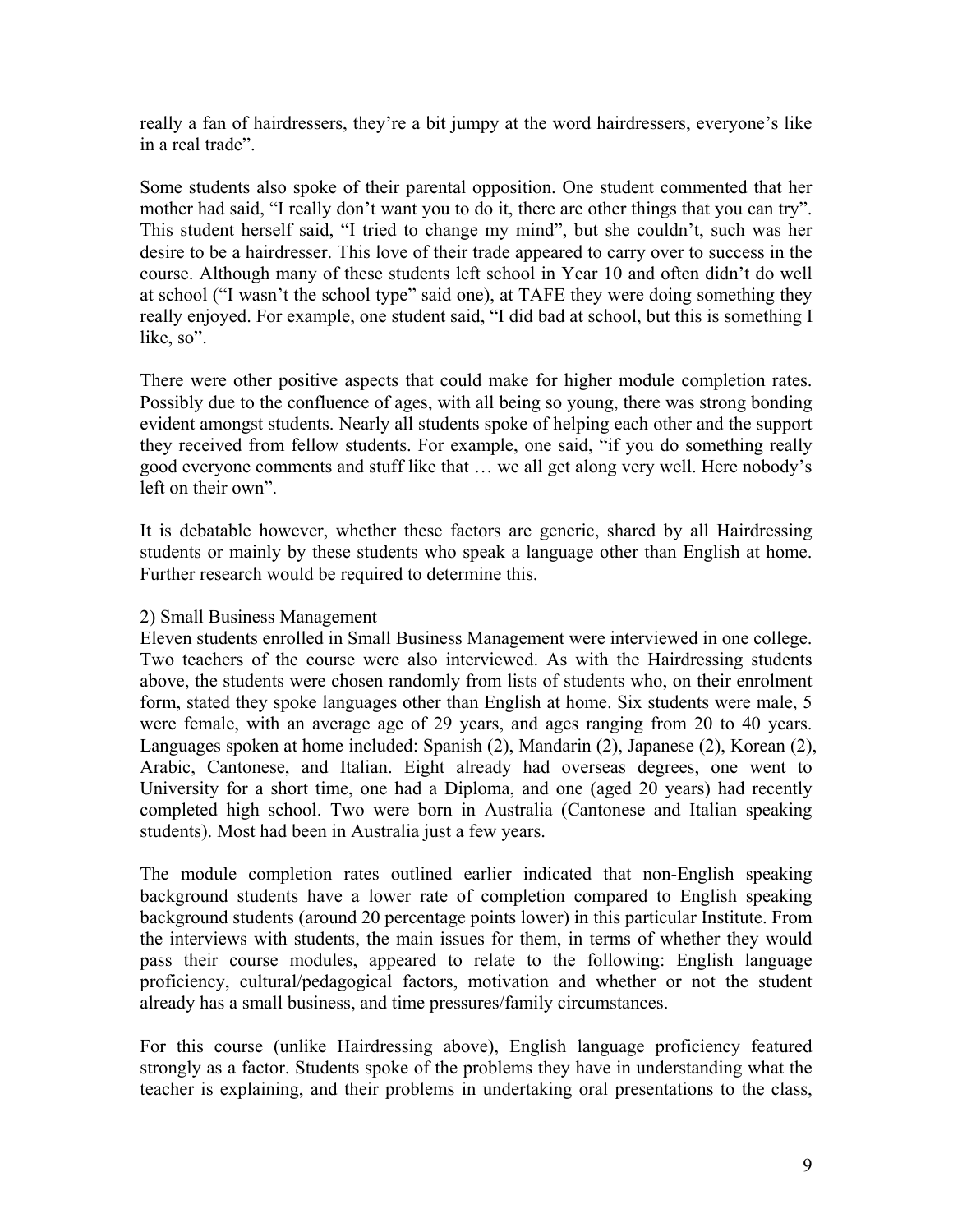really a fan of hairdressers, they're a bit jumpy at the word hairdressers, everyone's like in a real trade".

Some students also spoke of their parental opposition. One student commented that her mother had said, "I really don't want you to do it, there are other things that you can try". This student herself said, "I tried to change my mind", but she couldn't, such was her desire to be a hairdresser. This love of their trade appeared to carry over to success in the course. Although many of these students left school in Year 10 and often didn't do well at school ("I wasn't the school type" said one), at TAFE they were doing something they really enjoyed. For example, one student said, "I did bad at school, but this is something I like, so".

There were other positive aspects that could make for higher module completion rates. Possibly due to the confluence of ages, with all being so young, there was strong bonding evident amongst students. Nearly all students spoke of helping each other and the support they received from fellow students. For example, one said, "if you do something really good everyone comments and stuff like that … we all get along very well. Here nobody's left on their own".

It is debatable however, whether these factors are generic, shared by all Hairdressing students or mainly by these students who speak a language other than English at home. Further research would be required to determine this.

## 2) Small Business Management

Eleven students enrolled in Small Business Management were interviewed in one college. Two teachers of the course were also interviewed. As with the Hairdressing students above, the students were chosen randomly from lists of students who, on their enrolment form, stated they spoke languages other than English at home. Six students were male, 5 were female, with an average age of 29 years, and ages ranging from 20 to 40 years. Languages spoken at home included: Spanish (2), Mandarin (2), Japanese (2), Korean (2), Arabic, Cantonese, and Italian. Eight already had overseas degrees, one went to University for a short time, one had a Diploma, and one (aged 20 years) had recently completed high school. Two were born in Australia (Cantonese and Italian speaking students). Most had been in Australia just a few years.

The module completion rates outlined earlier indicated that non-English speaking background students have a lower rate of completion compared to English speaking background students (around 20 percentage points lower) in this particular Institute. From the interviews with students, the main issues for them, in terms of whether they would pass their course modules, appeared to relate to the following: English language proficiency, cultural/pedagogical factors, motivation and whether or not the student already has a small business, and time pressures/family circumstances.

For this course (unlike Hairdressing above), English language proficiency featured strongly as a factor. Students spoke of the problems they have in understanding what the teacher is explaining, and their problems in undertaking oral presentations to the class,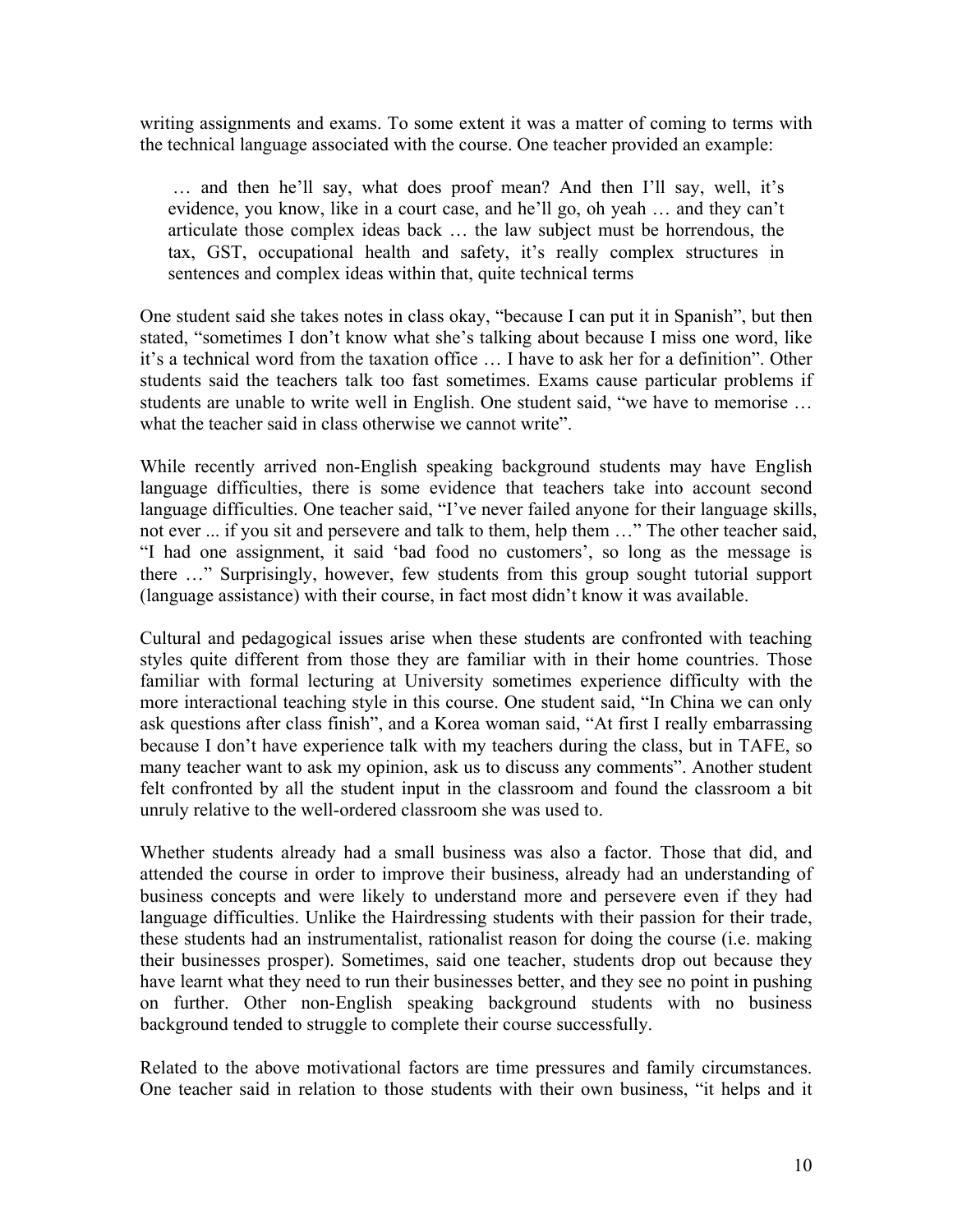writing assignments and exams. To some extent it was a matter of coming to terms with the technical language associated with the course. One teacher provided an example:

 … and then he'll say, what does proof mean? And then I'll say, well, it's evidence, you know, like in a court case, and he'll go, oh yeah … and they can't articulate those complex ideas back … the law subject must be horrendous, the tax, GST, occupational health and safety, it's really complex structures in sentences and complex ideas within that, quite technical terms

One student said she takes notes in class okay, "because I can put it in Spanish", but then stated, "sometimes I don't know what she's talking about because I miss one word, like it's a technical word from the taxation office … I have to ask her for a definition". Other students said the teachers talk too fast sometimes. Exams cause particular problems if students are unable to write well in English. One student said, "we have to memorise … what the teacher said in class otherwise we cannot write".

While recently arrived non-English speaking background students may have English language difficulties, there is some evidence that teachers take into account second language difficulties. One teacher said, "I've never failed anyone for their language skills, not ever ... if you sit and persevere and talk to them, help them …" The other teacher said, "I had one assignment, it said 'bad food no customers', so long as the message is there …" Surprisingly, however, few students from this group sought tutorial support (language assistance) with their course, in fact most didn't know it was available.

Cultural and pedagogical issues arise when these students are confronted with teaching styles quite different from those they are familiar with in their home countries. Those familiar with formal lecturing at University sometimes experience difficulty with the more interactional teaching style in this course. One student said, "In China we can only ask questions after class finish", and a Korea woman said, "At first I really embarrassing because I don't have experience talk with my teachers during the class, but in TAFE, so many teacher want to ask my opinion, ask us to discuss any comments". Another student felt confronted by all the student input in the classroom and found the classroom a bit unruly relative to the well-ordered classroom she was used to.

Whether students already had a small business was also a factor. Those that did, and attended the course in order to improve their business, already had an understanding of business concepts and were likely to understand more and persevere even if they had language difficulties. Unlike the Hairdressing students with their passion for their trade, these students had an instrumentalist, rationalist reason for doing the course (i.e. making their businesses prosper). Sometimes, said one teacher, students drop out because they have learnt what they need to run their businesses better, and they see no point in pushing on further. Other non-English speaking background students with no business background tended to struggle to complete their course successfully.

Related to the above motivational factors are time pressures and family circumstances. One teacher said in relation to those students with their own business, "it helps and it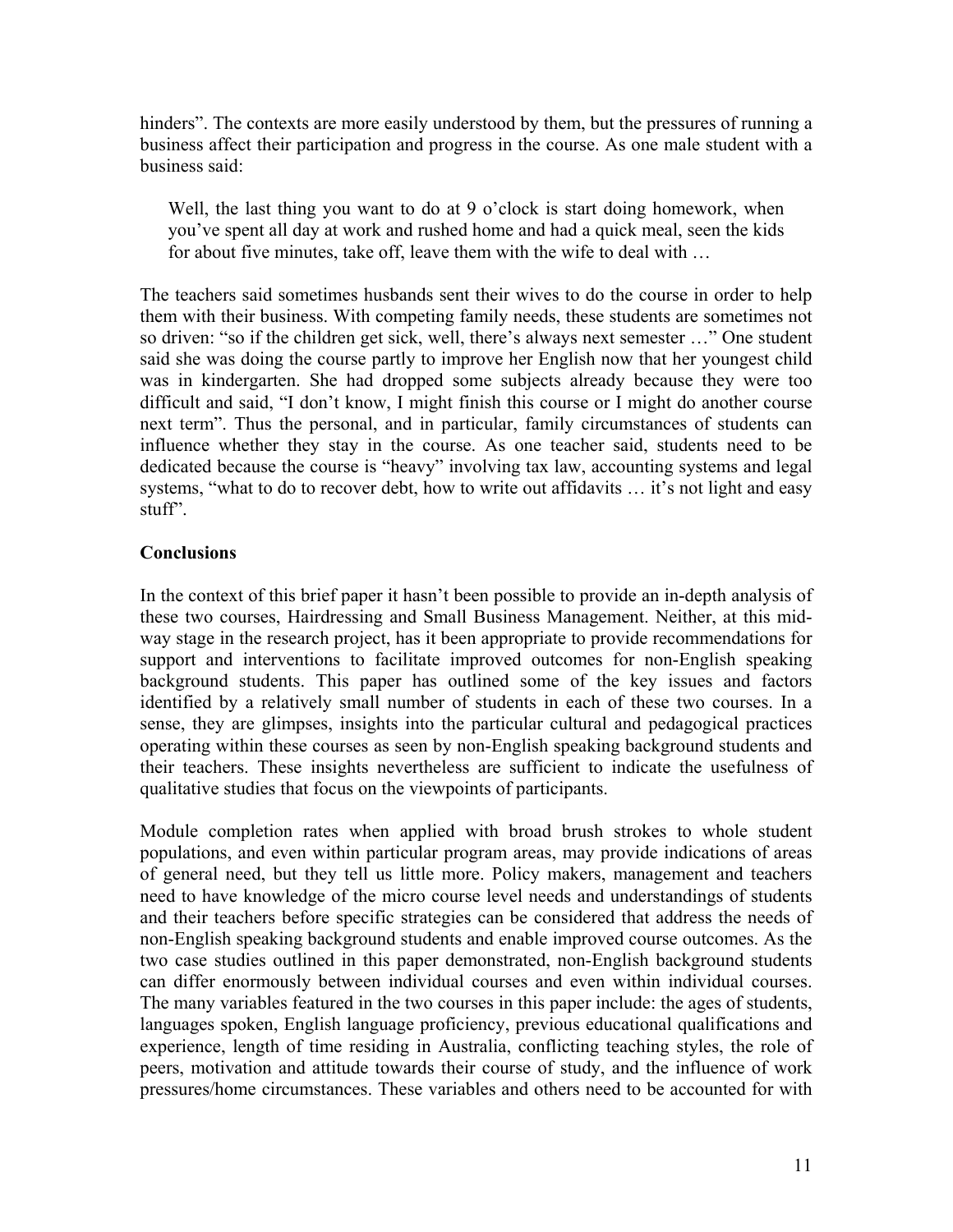hinders". The contexts are more easily understood by them, but the pressures of running a business affect their participation and progress in the course. As one male student with a business said:

Well, the last thing you want to do at 9 o'clock is start doing homework, when you've spent all day at work and rushed home and had a quick meal, seen the kids for about five minutes, take off, leave them with the wife to deal with …

The teachers said sometimes husbands sent their wives to do the course in order to help them with their business. With competing family needs, these students are sometimes not so driven: "so if the children get sick, well, there's always next semester …" One student said she was doing the course partly to improve her English now that her youngest child was in kindergarten. She had dropped some subjects already because they were too difficult and said, "I don't know, I might finish this course or I might do another course next term". Thus the personal, and in particular, family circumstances of students can influence whether they stay in the course. As one teacher said, students need to be dedicated because the course is "heavy" involving tax law, accounting systems and legal systems, "what to do to recover debt, how to write out affidavits … it's not light and easy stuff".

# **Conclusions**

In the context of this brief paper it hasn't been possible to provide an in-depth analysis of these two courses, Hairdressing and Small Business Management. Neither, at this midway stage in the research project, has it been appropriate to provide recommendations for support and interventions to facilitate improved outcomes for non-English speaking background students. This paper has outlined some of the key issues and factors identified by a relatively small number of students in each of these two courses. In a sense, they are glimpses, insights into the particular cultural and pedagogical practices operating within these courses as seen by non-English speaking background students and their teachers. These insights nevertheless are sufficient to indicate the usefulness of qualitative studies that focus on the viewpoints of participants.

Module completion rates when applied with broad brush strokes to whole student populations, and even within particular program areas, may provide indications of areas of general need, but they tell us little more. Policy makers, management and teachers need to have knowledge of the micro course level needs and understandings of students and their teachers before specific strategies can be considered that address the needs of non-English speaking background students and enable improved course outcomes. As the two case studies outlined in this paper demonstrated, non-English background students can differ enormously between individual courses and even within individual courses. The many variables featured in the two courses in this paper include: the ages of students, languages spoken, English language proficiency, previous educational qualifications and experience, length of time residing in Australia, conflicting teaching styles, the role of peers, motivation and attitude towards their course of study, and the influence of work pressures/home circumstances. These variables and others need to be accounted for with